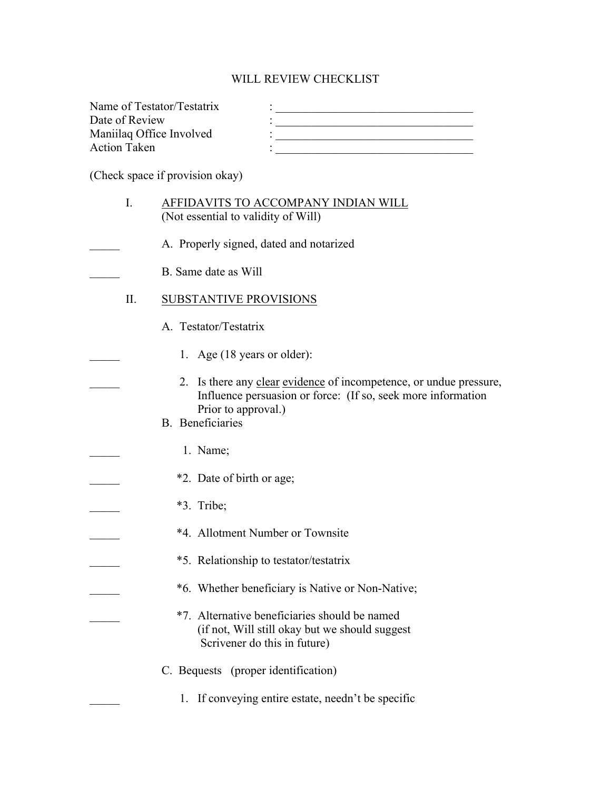## WILL REVIEW CHECKLIST

| Name of Testator/Testatrix |  |
|----------------------------|--|
| Date of Review             |  |
| Maniilaq Office Involved   |  |
| <b>Action Taken</b>        |  |
|                            |  |

(Check space if provision okay)

| I.  | AFFIDAVITS TO ACCOMPANY INDIAN WILL<br>(Not essential to validity of Will)                                                                                                           |
|-----|--------------------------------------------------------------------------------------------------------------------------------------------------------------------------------------|
|     | A. Properly signed, dated and notarized                                                                                                                                              |
|     | B. Same date as Will                                                                                                                                                                 |
| II. | SUBSTANTIVE PROVISIONS                                                                                                                                                               |
|     | A. Testator/Testatrix                                                                                                                                                                |
|     | 1. Age (18 years or older):                                                                                                                                                          |
|     | 2. Is there any clear evidence of incompetence, or undue pressure,<br>Influence persuasion or force: (If so, seek more information<br>Prior to approval.)<br><b>B.</b> Beneficiaries |
|     | 1. Name;                                                                                                                                                                             |
|     | *2. Date of birth or age;                                                                                                                                                            |
|     | *3. Tribe;                                                                                                                                                                           |
|     | *4. Allotment Number or Townsite                                                                                                                                                     |
|     | *5. Relationship to testator/testatrix                                                                                                                                               |
|     | *6. Whether beneficiary is Native or Non-Native;                                                                                                                                     |
|     | *7. Alternative beneficiaries should be named<br>(if not, Will still okay but we should suggest<br>Scrivener do this in future)                                                      |
|     | C. Bequests (proper identification)                                                                                                                                                  |
|     | 1. If conveying entire estate, needn't be specific                                                                                                                                   |